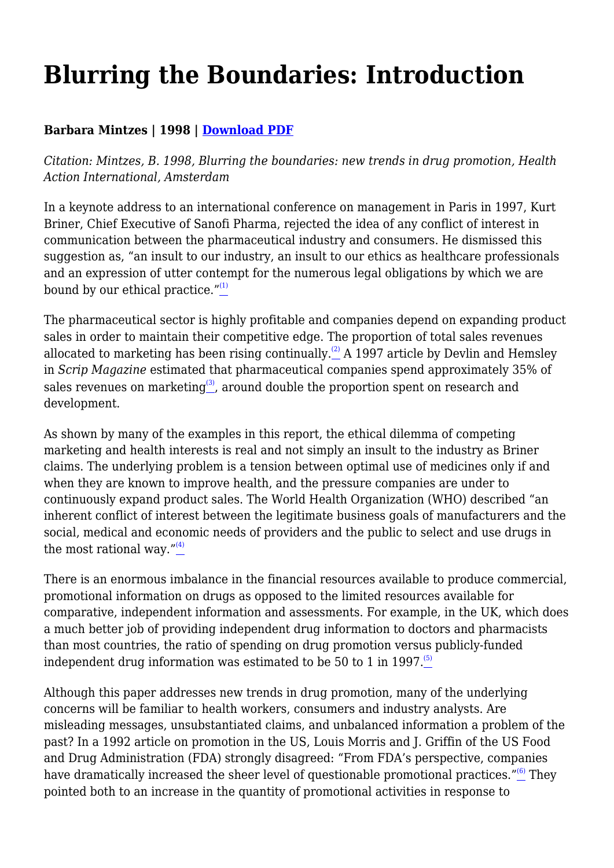## **Blurring the Boundaries: Introduction**

## **Barbara Mintzes | 1998 | [Download PDF](https://haiweb.org/wp-content/uploads/2020/10/Blurring-the-Boundaries-Introduction.pdf)**

*Citation: Mintzes, B. 1998, Blurring the boundaries: new trends in drug promotion, Health Action International, Amsterdam*

In a keynote address to an international conference on management in Paris in 1997, Kurt Briner, Chief Executive of Sanofi Pharma, rejected the idea of any conflict of interest in communication between the pharmaceutical industry and consumers. He dismissed this suggestion as, "an insult to our industry, an insult to our ethics as healthcare professionals and an expression of utter contempt for the numerous legal obligations by which we are bound by our ethical practice. $^{\prime\prime(1)}$  $^{\prime\prime(1)}$  $^{\prime\prime(1)}$ 

The pharmaceutical sector is highly profitable and companies depend on expanding product sales in order to maintain their competitive edge. The proportion of total sales revenues allocated to marketing has been rising continually.<sup>[\(2\)](file:///C:/Users/Dimity/HAI/HAI%20-%20Documenten/Website/HAI/www/old_www/old/pubs/blurring/blurring.intro.html#(2))</sup> A 1997 article by Devlin and Hemsley in *Scrip Magazine* estimated that pharmaceutical companies spend approximately 35% of sales revenues on marketing<sup>[\(3\)](file:///C:/Users/Dimity/HAI/HAI%20-%20Documenten/Website/HAI/www/old_www/old/pubs/blurring/blurring.intro.html#(3))</sup>, around double the proportion spent on research and development.

As shown by many of the examples in this report, the ethical dilemma of competing marketing and health interests is real and not simply an insult to the industry as Briner claims. The underlying problem is a tension between optimal use of medicines only if and when they are known to improve health, and the pressure companies are under to continuously expand product sales. The World Health Organization (WHO) described "an inherent conflict of interest between the legitimate business goals of manufacturers and the social, medical and economic needs of providers and the public to select and use drugs in the most rational way." $(4)$ 

There is an enormous imbalance in the financial resources available to produce commercial, promotional information on drugs as opposed to the limited resources available for comparative, independent information and assessments. For example, in the UK, which does a much better job of providing independent drug information to doctors and pharmacists than most countries, the ratio of spending on drug promotion versus publicly-funded independent drug information was estimated to be 50 to 1 in 1997.<sup>[\(5\)](file:///C:/Users/Dimity/HAI/HAI%20-%20Documenten/Website/HAI/www/old_www/old/pubs/blurring/blurring.intro.html#N_5_)</sup>

Although this paper addresses new trends in drug promotion, many of the underlying concerns will be familiar to health workers, consumers and industry analysts. Are misleading messages, unsubstantiated claims, and unbalanced information a problem of the past? In a 1992 article on promotion in the US, Louis Morris and J. Griffin of the US Food and Drug Administration (FDA) strongly disagreed: "From FDA's perspective, companies have dramatically increased the sheer level of questionable promotional practices." $(6)$  They pointed both to an increase in the quantity of promotional activities in response to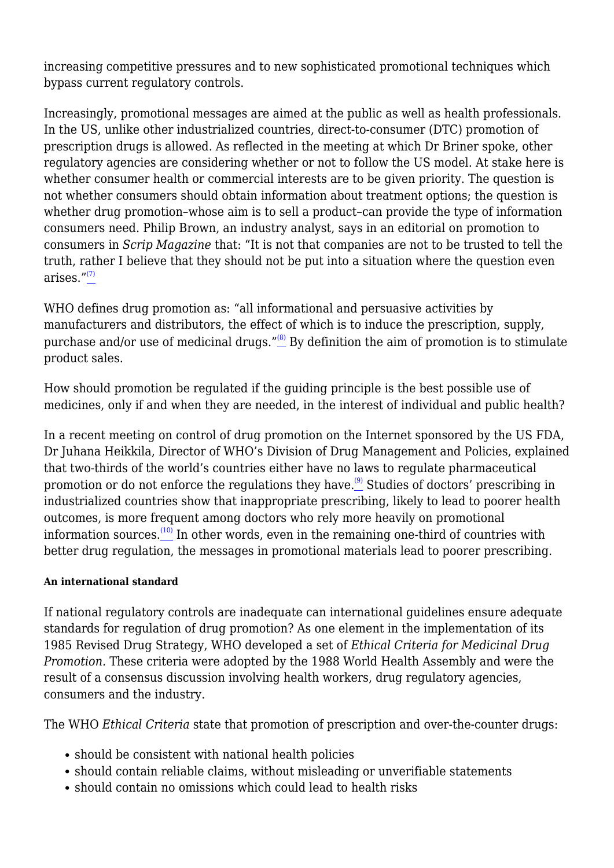increasing competitive pressures and to new sophisticated promotional techniques which bypass current regulatory controls.

Increasingly, promotional messages are aimed at the public as well as health professionals. In the US, unlike other industrialized countries, direct-to-consumer (DTC) promotion of prescription drugs is allowed. As reflected in the meeting at which Dr Briner spoke, other regulatory agencies are considering whether or not to follow the US model. At stake here is whether consumer health or commercial interests are to be given priority. The question is not whether consumers should obtain information about treatment options; the question is whether drug promotion–whose aim is to sell a product–can provide the type of information consumers need. Philip Brown, an industry analyst, says in an editorial on promotion to consumers in *Scrip Magazine* that: "It is not that companies are not to be trusted to tell the truth, rather I believe that they should not be put into a situation where the question even arises $\frac{n(7)}{2}$  $\frac{n(7)}{2}$  $\frac{n(7)}{2}$ 

WHO defines drug promotion as: "all informational and persuasive activities by manufacturers and distributors, the effect of which is to induce the prescription, supply, purchase and/or use of medicinal drugs." $^{(8)}$  $^{(8)}$  $^{(8)}$  By definition the aim of promotion is to stimulate product sales.

How should promotion be regulated if the guiding principle is the best possible use of medicines, only if and when they are needed, in the interest of individual and public health?

In a recent meeting on control of drug promotion on the Internet sponsored by the US FDA, Dr Juhana Heikkila, Director of WHO's Division of Drug Management and Policies, explained that two-thirds of the world's countries either have no laws to regulate pharmaceutical promotion or do not enforce the regulations they have.<sup>[\(9\)](file:///C:/Users/Dimity/HAI/HAI%20-%20Documenten/Website/HAI/www/old_www/old/pubs/blurring/blurring.intro.html#N_9_)</sup> Studies of doctors' prescribing in industrialized countries show that inappropriate prescribing, likely to lead to poorer health outcomes, is more frequent among doctors who rely more heavily on promotional information sources. $(10)$  In other words, even in the remaining one-third of countries with better drug regulation, the messages in promotional materials lead to poorer prescribing.

## **An international standard**

If national regulatory controls are inadequate can international guidelines ensure adequate standards for regulation of drug promotion? As one element in the implementation of its 1985 Revised Drug Strategy, WHO developed a set of *Ethical Criteria for Medicinal Drug Promotion.* These criteria were adopted by the 1988 World Health Assembly and were the result of a consensus discussion involving health workers, drug regulatory agencies, consumers and the industry.

The WHO *Ethical Criteria* state that promotion of prescription and over-the-counter drugs:

- should be consistent with national health policies
- should contain reliable claims, without misleading or unverifiable statements
- should contain no omissions which could lead to health risks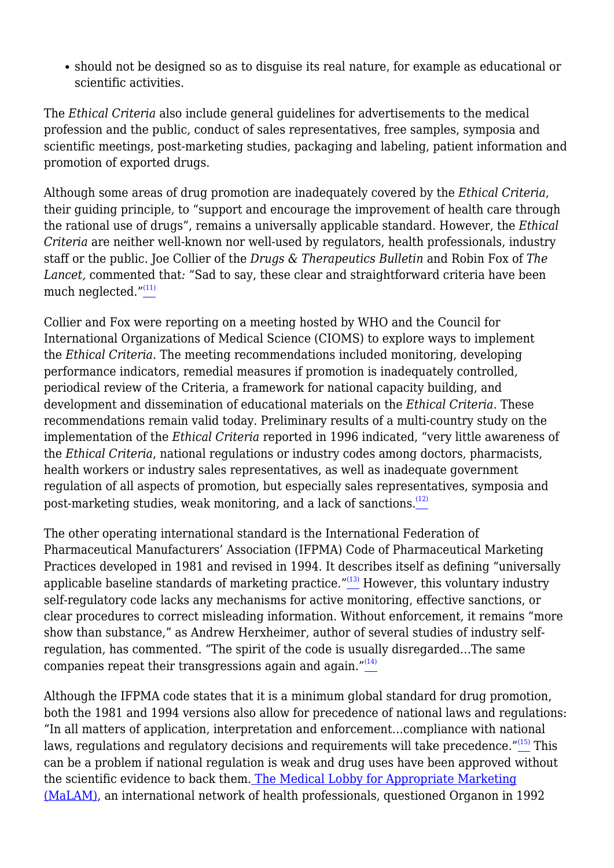should not be designed so as to disguise its real nature, for example as educational or scientific activities.

The *Ethical Criteria* also include general guidelines for advertisements to the medical profession and the public, conduct of sales representatives, free samples, symposia and scientific meetings, post-marketing studies, packaging and labeling, patient information and promotion of exported drugs.

Although some areas of drug promotion are inadequately covered by the *Ethical Criteria*, their guiding principle, to "support and encourage the improvement of health care through the rational use of drugs", remains a universally applicable standard. However, the *Ethical Criteria* are neither well-known nor well-used by regulators, health professionals, industry staff or the public. Joe Collier of the *Drugs & Therapeutics Bulletin* and Robin Fox of *The Lancet,* commented that*:* "Sad to say, these clear and straightforward criteria have been much neglected. $^{\prime\prime\,(11)}$  $^{\prime\prime\,(11)}$  $^{\prime\prime\,(11)}$ 

Collier and Fox were reporting on a meeting hosted by WHO and the Council for International Organizations of Medical Science (CIOMS) to explore ways to implement the *Ethical Criteria*. The meeting recommendations included monitoring, developing performance indicators, remedial measures if promotion is inadequately controlled, periodical review of the Criteria, a framework for national capacity building, and development and dissemination of educational materials on the *Ethical Criteria*. These recommendations remain valid today. Preliminary results of a multi-country study on the implementation of the *Ethical Criteria* reported in 1996 indicated, "very little awareness of the *Ethical Criteria*, national regulations or industry codes among doctors, pharmacists, health workers or industry sales representatives, as well as inadequate government regulation of all aspects of promotion, but especially sales representatives, symposia and post-marketing studies, weak monitoring, and a lack of sanctions.<sup>[\(12\)](file:///C:/Users/Dimity/HAI/HAI%20-%20Documenten/Website/HAI/www/old_www/old/pubs/blurring/blurring.intro.html#N_12_)</sup>

The other operating international standard is the International Federation of Pharmaceutical Manufacturers' Association (IFPMA) Code of Pharmaceutical Marketing Practices developed in 1981 and revised in 1994. It describes itself as defining "universally applicable baseline standards of marketing practice. $^{\prime\prime(13)}$  $^{\prime\prime(13)}$  $^{\prime\prime(13)}$  However, this voluntary industry self-regulatory code lacks any mechanisms for active monitoring, effective sanctions, or clear procedures to correct misleading information. Without enforcement, it remains "more show than substance," as Andrew Herxheimer, author of several studies of industry selfregulation, has commented. "The spirit of the code is usually disregarded…The same companies repeat their transgressions again and again."<sup>[\(14\)](file:///C:/Users/Dimity/HAI/HAI%20-%20Documenten/Website/HAI/www/old_www/old/pubs/blurring/blurring.intro.html#N_14_)</sup>

Although the IFPMA code states that it is a minimum global standard for drug promotion, both the 1981 and 1994 versions also allow for precedence of national laws and regulations: "In all matters of application, interpretation and enforcement…compliance with national laws, regulations and regulatory decisions and requirements will take precedence."<sup>[\(15\)](file:///C:/Users/Dimity/HAI/HAI%20-%20Documenten/Website/HAI/www/old_www/old/pubs/blurring/blurring.intro.html#N_15_)</sup> This can be a problem if national regulation is weak and drug uses have been approved without the scientific evidence to back them. [The Medical Lobby for Appropriate Marketing](http://www.camtech.net.au/malam) [\(MaLAM\)](http://www.camtech.net.au/malam), an international network of health professionals, questioned Organon in 1992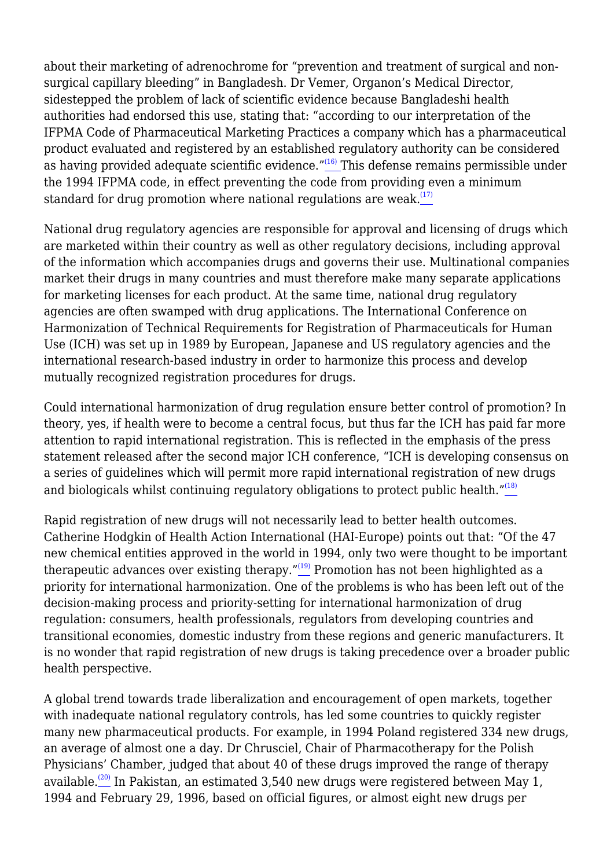about their marketing of adrenochrome for "prevention and treatment of surgical and nonsurgical capillary bleeding" in Bangladesh. Dr Vemer, Organon's Medical Director, sidestepped the problem of lack of scientific evidence because Bangladeshi health authorities had endorsed this use, stating that: "according to our interpretation of the IFPMA Code of Pharmaceutical Marketing Practices a company which has a pharmaceutical product evaluated and registered by an established regulatory authority can be considered as having provided adequate scientific evidence."<sup>[\(16\)](file:///C:/Users/Dimity/HAI/HAI%20-%20Documenten/Website/HAI/www/old_www/old/pubs/blurring/blurring.intro.html#N_16_)</sup> This defense remains permissible under the 1994 IFPMA code, in effect preventing the code from providing even a minimum standard for drug promotion where national regulations are weak.<sup> $(17)$ </sup>

National drug regulatory agencies are responsible for approval and licensing of drugs which are marketed within their country as well as other regulatory decisions, including approval of the information which accompanies drugs and governs their use. Multinational companies market their drugs in many countries and must therefore make many separate applications for marketing licenses for each product. At the same time, national drug regulatory agencies are often swamped with drug applications. The International Conference on Harmonization of Technical Requirements for Registration of Pharmaceuticals for Human Use (ICH) was set up in 1989 by European, Japanese and US regulatory agencies and the international research-based industry in order to harmonize this process and develop mutually recognized registration procedures for drugs.

Could international harmonization of drug regulation ensure better control of promotion? In theory, yes, if health were to become a central focus, but thus far the ICH has paid far more attention to rapid international registration. This is reflected in the emphasis of the press statement released after the second major ICH conference, "ICH is developing consensus on a series of guidelines which will permit more rapid international registration of new drugs and biologicals whilst continuing regulatory obligations to protect public health." $\frac{18}{18}$ 

Rapid registration of new drugs will not necessarily lead to better health outcomes. Catherine Hodgkin of Health Action International (HAI-Europe) points out that: "Of the 47 new chemical entities approved in the world in 1994, only two were thought to be important therapeutic advances over existing therapy." $(19)$  Promotion has not been highlighted as a priority for international harmonization. One of the problems is who has been left out of the decision-making process and priority-setting for international harmonization of drug regulation: consumers, health professionals, regulators from developing countries and transitional economies, domestic industry from these regions and generic manufacturers. It is no wonder that rapid registration of new drugs is taking precedence over a broader public health perspective.

A global trend towards trade liberalization and encouragement of open markets, together with inadequate national regulatory controls, has led some countries to quickly register many new pharmaceutical products. For example, in 1994 Poland registered 334 new drugs, an average of almost one a day. Dr Chrusciel, Chair of Pharmacotherapy for the Polish Physicians' Chamber, judged that about 40 of these drugs improved the range of therapy available.<sup>[\(20\)](file:///C:/Users/Dimity/HAI/HAI%20-%20Documenten/Website/HAI/www/old_www/old/pubs/blurring/blurring.intro.html#N_20_)</sup> In Pakistan, an estimated 3,540 new drugs were registered between May 1, 1994 and February 29, 1996, based on official figures, or almost eight new drugs per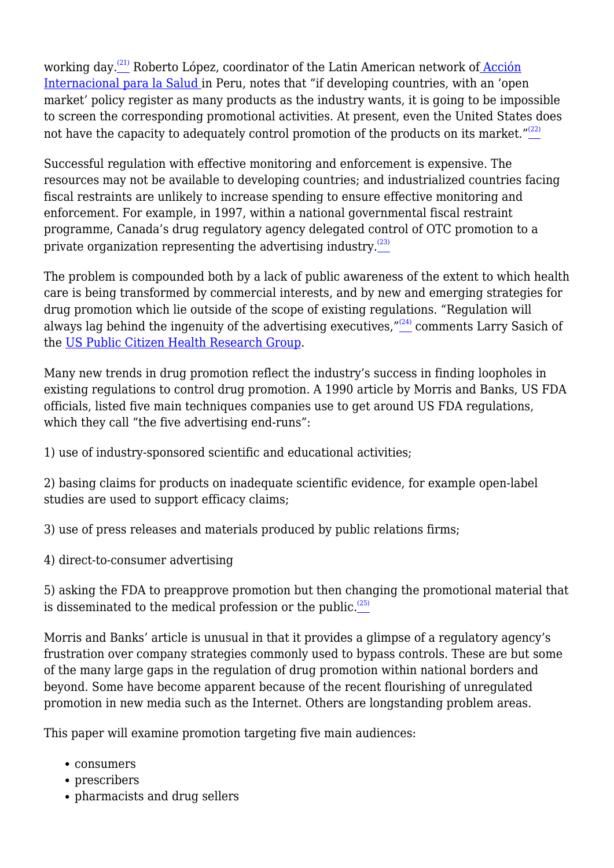working day. $(21)$  Roberto López, coordinator of the Latin American network o[f Acción](http://ekeko2.rcp.net.pe/AIS-LAC/) [Internacional para la Salud i](http://ekeko2.rcp.net.pe/AIS-LAC/)n Peru, notes that "if developing countries, with an 'open market' policy register as many products as the industry wants, it is going to be impossible to screen the corresponding promotional activities. At present, even the United States does not have the capacity to adequately control promotion of the products on its market." $(22)$ 

Successful regulation with effective monitoring and enforcement is expensive. The resources may not be available to developing countries; and industrialized countries facing fiscal restraints are unlikely to increase spending to ensure effective monitoring and enforcement. For example, in 1997, within a national governmental fiscal restraint programme, Canada's drug regulatory agency delegated control of OTC promotion to a private organization representing the advertising industry. $(23)$ 

The problem is compounded both by a lack of public awareness of the extent to which health care is being transformed by commercial interests, and by new and emerging strategies for drug promotion which lie outside of the scope of existing regulations. "Regulation will always lag behind the ingenuity of the advertising executives,  $\frac{1}{2}$  comments Larry Sasich of the [US Public Citizen Health Research Group](http://www.citizen.org).

Many new trends in drug promotion reflect the industry's success in finding loopholes in existing regulations to control drug promotion. A 1990 article by Morris and Banks, US FDA officials, listed five main techniques companies use to get around US FDA regulations, which they call "the five advertising end-runs":

1) use of industry-sponsored scientific and educational activities;

2) basing claims for products on inadequate scientific evidence, for example open-label studies are used to support efficacy claims;

3) use of press releases and materials produced by public relations firms;

4) direct-to-consumer advertising

5) asking the FDA to preapprove promotion but then changing the promotional material that is disseminated to the medical profession or the public. $(25)$ 

Morris and Banks' article is unusual in that it provides a glimpse of a regulatory agency's frustration over company strategies commonly used to bypass controls. These are but some of the many large gaps in the regulation of drug promotion within national borders and beyond. Some have become apparent because of the recent flourishing of unregulated promotion in new media such as the Internet. Others are longstanding problem areas.

This paper will examine promotion targeting five main audiences:

- consumers
- prescribers
- pharmacists and drug sellers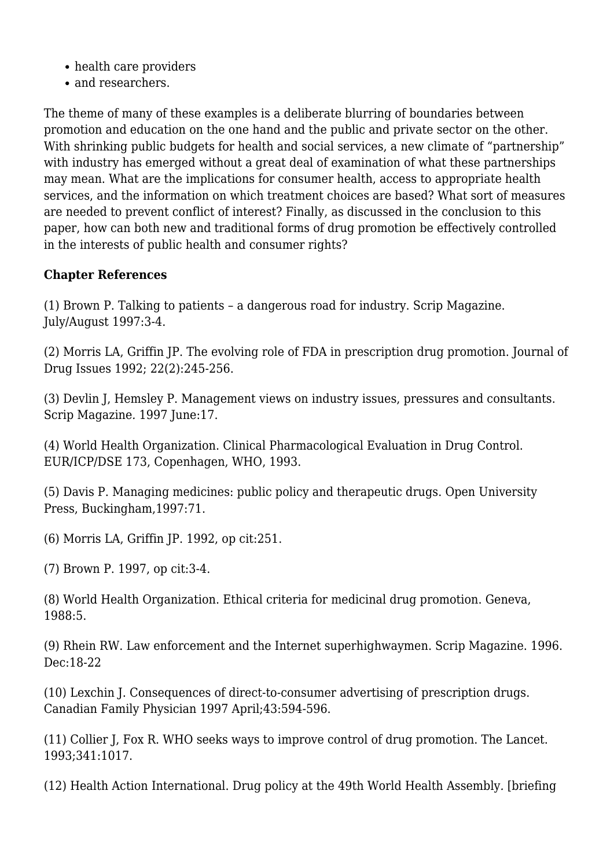- health care providers
- and researchers.

The theme of many of these examples is a deliberate blurring of boundaries between promotion and education on the one hand and the public and private sector on the other. With shrinking public budgets for health and social services, a new climate of "partnership" with industry has emerged without a great deal of examination of what these partnerships may mean. What are the implications for consumer health, access to appropriate health services, and the information on which treatment choices are based? What sort of measures are needed to prevent conflict of interest? Finally, as discussed in the conclusion to this paper, how can both new and traditional forms of drug promotion be effectively controlled in the interests of public health and consumer rights?

## **Chapter References**

(1) Brown P. Talking to patients – a dangerous road for industry. Scrip Magazine. July/August 1997:3-4.

(2) Morris LA, Griffin JP. The evolving role of FDA in prescription drug promotion. Journal of Drug Issues 1992; 22(2):245-256.

(3) Devlin J, Hemsley P. Management views on industry issues, pressures and consultants. Scrip Magazine*.* 1997 June:17.

(4) World Health Organization. Clinical Pharmacological Evaluation in Drug Control. EUR/ICP/DSE 173, Copenhagen, WHO, 1993.

(5) Davis P. Managing medicines: public policy and therapeutic drugs. Open University Press, Buckingham,1997:71.

(6) Morris LA, Griffin JP. 1992, op cit:251.

(7) Brown P. 1997, op cit:3-4.

(8) World Health Organization. Ethical criteria for medicinal drug promotion. Geneva, 1988:5.

(9) Rhein RW. Law enforcement and the Internet superhighwaymen. Scrip Magazine. 1996. Dec:18-22

(10) Lexchin J. Consequences of direct-to-consumer advertising of prescription drugs. Canadian Family Physician 1997 April;43:594-596.

(11) Collier J, Fox R. WHO seeks ways to improve control of drug promotion. The Lancet. 1993;341:1017.

(12) Health Action International. Drug policy at the 49th World Health Assembly*.* [briefing